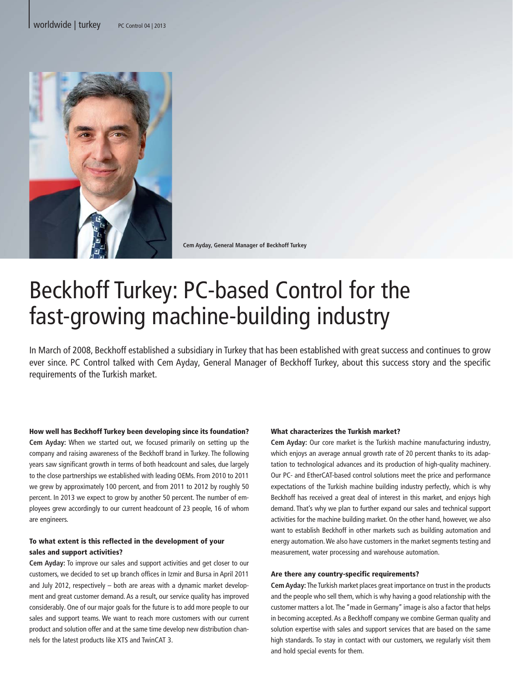

**Cem Ayday, General Manager of Beckhoff Turkey**

# Beckhoff Turkey: PC-based Control for the fast-growing machine-building industry

In March of 2008, Beckhoff established a subsidiary in Turkey that has been established with great success and continues to grow ever since. PC Control talked with Cem Ayday, General Manager of Beckhoff Turkey, about this success story and the specific requirements of the Turkish market.

How well has Beckhoff Turkey been developing since its foundation? **Cem Ayday:** When we started out, we focused primarily on setting up the company and raising awareness of the Beckhoff brand in Turkey. The following years saw significant growth in terms of both headcount and sales, due largely to the close partnerships we established with leading OEMs. From 2010 to 2011 we grew by approximately 100 percent, and from 2011 to 2012 by roughly 50 percent. In 2013 we expect to grow by another 50 percent. The number of employees grew accordingly to our current headcount of 23 people, 16 of whom are engineers.

## To what extent is this reflected in the development of your sales and support activities?

**Cem Ayday:** To improve our sales and support activities and get closer to our customers, we decided to set up branch offices in Izmir and Bursa in April 2011 and July 2012, respectively – both are areas with a dynamic market development and great customer demand. As a result, our service quality has improved considerably. One of our major goals for the future is to add more people to our sales and support teams. We want to reach more customers with our current product and solution offer and at the same time develop new distribution channels for the latest products like XTS and TwinCAT 3.

### What characterizes the Turkish market?

**Cem Ayday:** Our core market is the Turkish machine manufacturing industry, which enjoys an average annual growth rate of 20 percent thanks to its adaptation to technological advances and its production of high-quality machinery. Our PC- and EtherCAT-based control solutions meet the price and performance expectations of the Turkish machine building industry perfectly, which is why Beckhoff has received a great deal of interest in this market, and enjoys high demand. That's why we plan to further expand our sales and technical support activities for the machine building market. On the other hand, however, we also want to establish Beckhoff in other markets such as building automation and energy automation. We also have customers in the market segments testing and measurement, water processing and warehouse automation.

#### Are there any country-specific requirements?

**Cem Ayday:** The Turkish market places great importance on trust in the products and the people who sell them, which is why having a good relationship with the customer matters a lot. The "made in Germany" image is also a factor that helps in becoming accepted. As a Beckhoff company we combine German quality and solution expertise with sales and support services that are based on the same high standards. To stay in contact with our customers, we regularly visit them and hold special events for them.